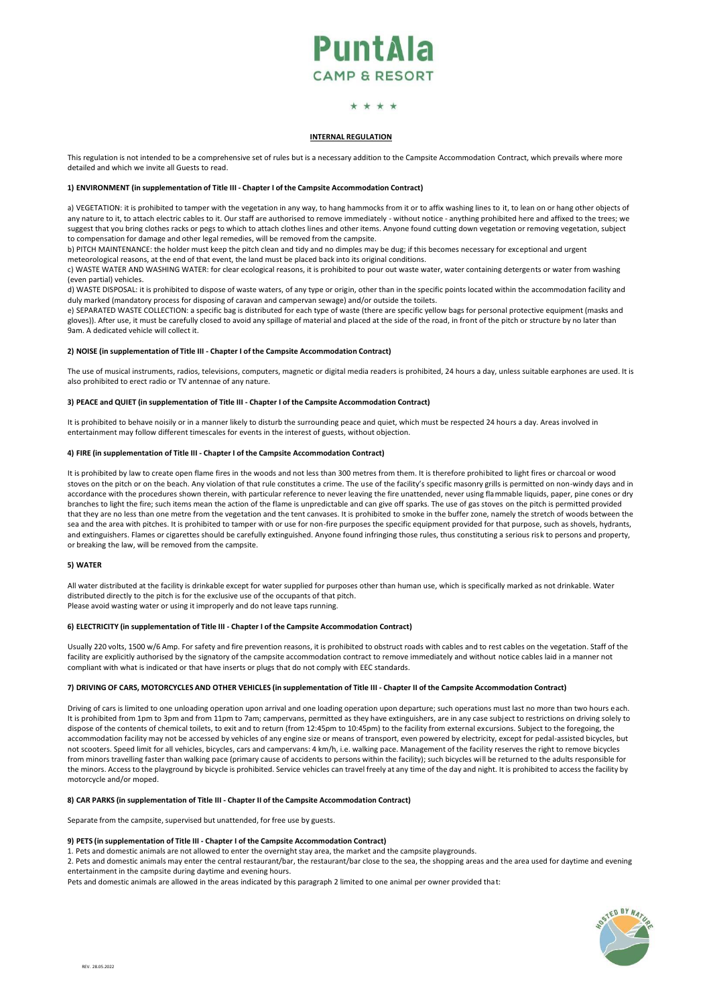# PuntAla **CAMP & RESORT**

## \* \* \* \*

## **INTERNAL REGULATION**

This regulation is not intended to be a comprehensive set of rules but is a necessary addition to the Campsite Accommodation Contract, which prevails where more detailed and which we invite all Guests to read.

## **1) ENVIRONMENT (in supplementation of Title III - Chapter I of the Campsite Accommodation Contract)**

a) VEGETATION: it is prohibited to tamper with the vegetation in any way, to hang hammocks from it or to affix washing lines to it, to lean on or hang other objects of any nature to it, to attach electric cables to it. Our staff are authorised to remove immediately - without notice - anything prohibited here and affixed to the trees; we suggest that you bring clothes racks or pegs to which to attach clothes lines and other items. Anyone found cutting down vegetation or removing vegetation, subject to compensation for damage and other legal remedies, will be removed from the campsite.

b) PITCH MAINTENANCE: the holder must keep the pitch clean and tidy and no dimples may be dug; if this becomes necessary for exceptional and urgent meteorological reasons, at the end of that event, the land must be placed back into its original conditions.

c) WASTE WATER AND WASHING WATER: for clear ecological reasons, it is prohibited to pour out waste water, water containing detergents or water from washing (even partial) vehicles.

d) WASTE DISPOSAL: it is prohibited to dispose of waste waters, of any type or origin, other than in the specific points located within the accommodation facility and duly marked (mandatory process for disposing of caravan and campervan sewage) and/or outside the toilets.

e) SEPARATED WASTE COLLECTION: a specific bag is distributed for each type of waste (there are specific yellow bags for personal protective equipment (masks and gloves)). After use, it must be carefully closed to avoid any spillage of material and placed at the side of the road, in front of the pitch or structure by no later than 9am. A dedicated vehicle will collect it.

#### **2) NOISE (in supplementation of Title III - Chapter I of the Campsite Accommodation Contract)**

The use of musical instruments, radios, televisions, computers, magnetic or digital media readers is prohibited, 24 hours a day, unless suitable earphones are used. It is also prohibited to erect radio or TV antennae of any nature.

#### **3) PEACE and QUIET (in supplementation of Title III - Chapter I of the Campsite Accommodation Contract)**

It is prohibited to behave noisily or in a manner likely to disturb the surrounding peace and quiet, which must be respected 24 hours a day. Areas involved in entertainment may follow different timescales for events in the interest of guests, without objection.

## **4) FIRE (in supplementation of Title III - Chapter I of the Campsite Accommodation Contract)**

It is prohibited by law to create open flame fires in the woods and not less than 300 metres from them. It is therefore prohibited to light fires or charcoal or wood stoves on the pitch or on the beach. Any violation of that rule constitutes a crime. The use of the facility's specific masonry grills is permitted on non-windy days and in accordance with the procedures shown therein, with particular reference to never leaving the fire unattended, never using flammable liquids, paper, pine cones or dry branches to light the fire; such items mean the action of the flame is unpredictable and can give off sparks. The use of gas stoves on the pitch is permitted provided that they are no less than one metre from the vegetation and the tent canvases. It is prohibited to smoke in the buffer zone, namely the stretch of woods between the sea and the area with pitches. It is prohibited to tamper with or use for non-fire purposes the specific equipment provided for that purpose, such as shovels, hydrants, and extinguishers. Flames or cigarettes should be carefully extinguished. Anyone found infringing those rules, thus constituting a serious risk to persons and property, or breaking the law, will be removed from the campsite.

#### **5) WATER**

All water distributed at the facility is drinkable except for water supplied for purposes other than human use, which is specifically marked as not drinkable. Water distributed directly to the pitch is for the exclusive use of the occupants of that pitch. Please avoid wasting water or using it improperly and do not leave taps running.

#### **6) ELECTRICITY (in supplementation of Title III - Chapter I of the Campsite Accommodation Contract)**

Usually 220 volts, 1500 w/6 Amp. For safety and fire prevention reasons, it is prohibited to obstruct roads with cables and to rest cables on the vegetation. Staff of the facility are explicitly authorised by the signatory of the campsite accommodation contract to remove immediately and without notice cables laid in a manner not compliant with what is indicated or that have inserts or plugs that do not comply with EEC standards.

## 7) DRIVING OF CARS, MOTORCYCLES AND OTHER VEHICLES (in supplementation of Title III - Chapter II of the Campsite Accommodation Contract)

Driving of cars is limited to one unloading operation upon arrival and one loading operation upon departure; such operations must last no more than two hours each. It is prohibited from 1pm to 3pm and from 11pm to 7am; campervans, permitted as they have extinguishers, are in any case subject to restrictions on driving solely to dispose of the contents of chemical toilets, to exit and to return (from 12:45pm to 10:45pm) to the facility from external excursions. Subject to the foregoing, the accommodation facility may not be accessed by vehicles of any engine size or means of transport, even powered by electricity, except for pedal-assisted bicycles, but not scooters. Speed limit for all vehicles, bicycles, cars and campervans: 4 km/h, i.e. walking pace. Management of the facility reserves the right to remove bicycles from minors travelling faster than walking pace (primary cause of accidents to persons within the facility); such bicycles will be returned to the adults responsible for the minors. Access to the playground by bicycle is prohibited. Service vehicles can travel freely at any time of the day and night. It is prohibited to access the facility by motorcycle and/or moped.

#### **8) CAR PARKS (in supplementation of Title III - Chapter II of the Campsite Accommodation Contract)**

Separate from the campsite, supervised but unattended, for free use by guests.

## **9) PETS (in supplementation of Title III - Chapter I of the Campsite Accommodation Contract)**

1. Pets and domestic animals are not allowed to enter the overnight stay area, the market and the campsite playgrounds.

2. Pets and domestic animals may enter the central restaurant/bar, the restaurant/bar close to the sea, the shopping areas and the area used for daytime and evening entertainment in the campsite during daytime and evening hours.

Pets and domestic animals are allowed in the areas indicated by this paragraph 2 limited to one animal per owner provided that:

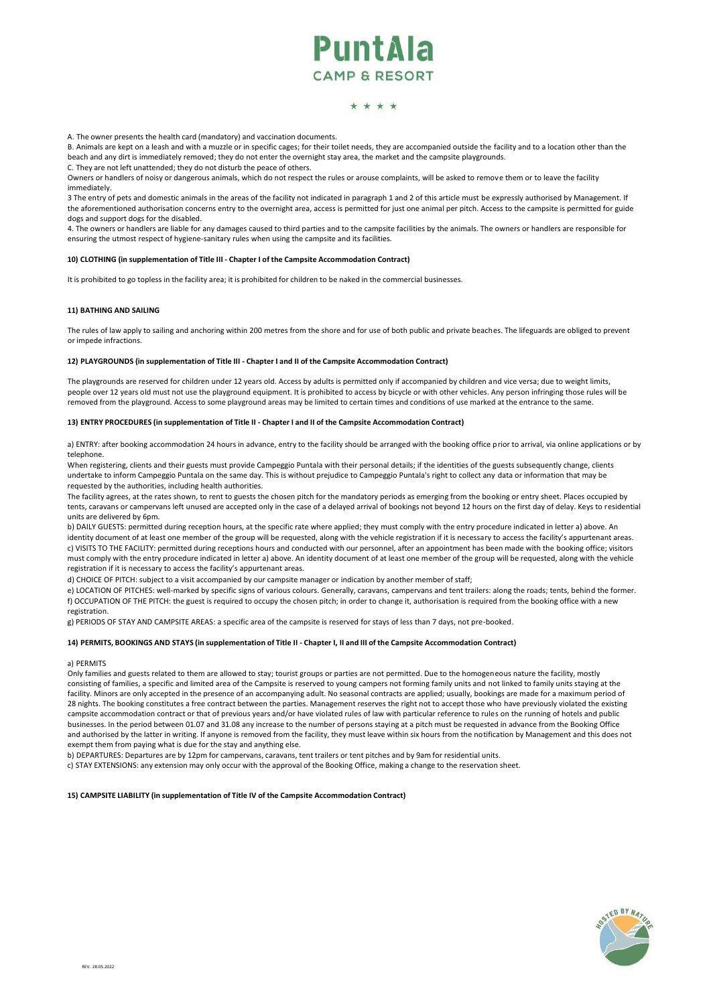## PuntAla **CAMP & RESORT**

## \* \* \* \*

A. The owner presents the health card (mandatory) and vaccination documents.

B. Animals are kept on a leash and with a muzzle or in specific cages; for their toilet needs, they are accompanied outside the facility and to a location other than the beach and any dirt is immediately removed; they do not enter the overnight stay area, the market and the campsite playgrounds.

C. They are not left unattended; they do not disturb the peace of others.

Owners or handlers of noisy or dangerous animals, which do not respect the rules or arouse complaints, will be asked to remove them or to leave the facility immediately.

3 The entry of pets and domestic animals in the areas of the facility not indicated in paragraph 1 and 2 of this article must be expressly authorised by Management. If the aforementioned authorisation concerns entry to the overnight area, access is permitted for just one animal per pitch. Access to the campsite is permitted for guide dogs and support dogs for the disabled.

4. The owners or handlers are liable for any damages caused to third parties and to the campsite facilities by the animals. The owners or handlers are responsible for ensuring the utmost respect of hygiene-sanitary rules when using the campsite and its facilities.

#### **10) CLOTHING (in supplementation of Title III - Chapter I of the Campsite Accommodation Contract)**

It is prohibited to go topless in the facility area; it is prohibited for children to be naked in the commercial businesses.

#### **11) BATHING AND SAILING**

The rules of law apply to sailing and anchoring within 200 metres from the shore and for use of both public and private beaches. The lifeguards are obliged to prevent or impede infractions.

#### 12) PLAYGROUNDS (in supplementation of Title III - Chapter I and II of the Campsite Accommodation Contract)

The playgrounds are reserved for children under 12 years old. Access by adults is permitted only if accompanied by children and vice versa; due to weight limits, people over 12 years old must not use the playground equipment. It is prohibited to access by bicycle or with other vehicles. Any person infringing those rules will be removed from the playground. Access to some playground areas may be limited to certain times and conditions of use marked at the entrance to the same.

## 13) ENTRY PROCEDURES (in supplementation of Title II - Chapter I and II of the Campsite Accommodation Contract)

a) ENTRY: after booking accommodation 24 hours in advance, entry to the facility should be arranged with the booking office prior to arrival, via online applications or by telephone.

When registering, clients and their guests must provide Campeggio Puntala with their personal details; if the identities of the guests subsequently change, clients undertake to inform Campeggio Puntala on the same day. This is without prejudice to Campeggio Puntala's right to collect any data or information that may be requested by the authorities, including health authorities.

The facility agrees, at the rates shown, to rent to guests the chosen pitch for the mandatory periods as emerging from the booking or entry sheet. Places occupied by tents, caravans or campervans left unused are accepted only in the case of a delayed arrival of bookings not beyond 12 hours on the first day of delay. Keys to residential units are delivered by 6pm.

b) DAILY GUESTS: permitted during reception hours, at the specific rate where applied; they must comply with the entry procedure indicated in letter a) above. An identity document of at least one member of the group will be requested, along with the vehicle registration if it is necessary to access the facility's appurtenant areas. c) VISITS TO THE FACILITY: permitted during receptions hours and conducted with our personnel, after an appointment has been made with the booking office; visitors must comply with the entry procedure indicated in letter a) above. An identity document of at least one member of the group will be requested, along with the vehicle registration if it is necessary to access the facility's appurtenant areas.

d) CHOICE OF PITCH: subject to a visit accompanied by our campsite manager or indication by another member of staff;

e) LOCATION OF PITCHES: well-marked by specific signs of various colours. Generally, caravans, campervans and tent trailers: along the roads; tents, behind the former. f) OCCUPATION OF THE PITCH: the guest is required to occupy the chosen pitch; in order to change it, authorisation is required from the booking office with a new registration.

g) PERIODS OF STAY AND CAMPSITE AREAS: a specific area of the campsite is reserved for stays of less than 7 days, not pre-booked.

#### 14) PERMITS, BOOKINGS AND STAYS (in supplementation of Title II - Chapter I, II and III of the Campsite Accommodation Contract)

a) PERMITS

Only families and guests related to them are allowed to stay; tourist groups or parties are not permitted. Due to the homogeneous nature the facility, mostly consisting of families, a specific and limited area of the Campsite is reserved to young campers not forming family units and not linked to family units staying at the facility. Minors are only accepted in the presence of an accompanying adult. No seasonal contracts are applied; usually, bookings are made for a maximum period of 28 nights. The booking constitutes a free contract between the parties. Management reserves the right not to accept those who have previously violated the existing campsite accommodation contract or that of previous years and/or have violated rules of law with particular reference to rules on the running of hotels and public businesses. In the period between 01.07 and 31.08 any increase to the number of persons staying at a pitch must be requested in advance from the Booking Office and authorised by the latter in writing. If anyone is removed from the facility, they must leave within six hours from the notification by Management and this does not exempt them from paying what is due for the stay and anything else.

b) DEPARTURES: Departures are by 12pm for campervans, caravans, tent trailers or tent pitches and by 9am for residential units.

c) STAY EXTENSIONS: any extension may only occur with the approval of the Booking Office, making a change to the reservation sheet.

#### **15) CAMPSITE LIABILITY (in supplementation of Title IV of the Campsite Accommodation Contract)**